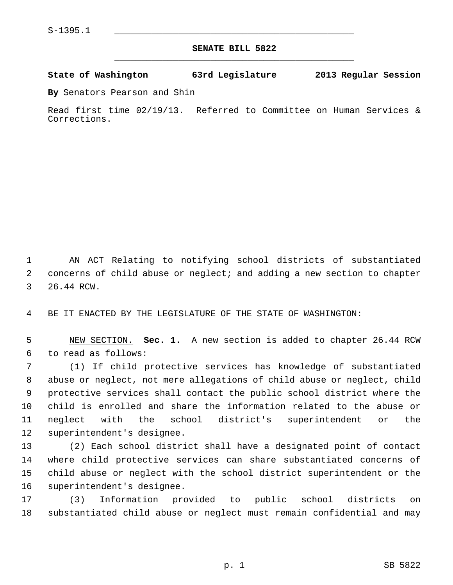## **SENATE BILL 5822** \_\_\_\_\_\_\_\_\_\_\_\_\_\_\_\_\_\_\_\_\_\_\_\_\_\_\_\_\_\_\_\_\_\_\_\_\_\_\_\_\_\_\_\_\_

## **State of Washington 63rd Legislature 2013 Regular Session**

**By** Senators Pearson and Shin

Read first time 02/19/13. Referred to Committee on Human Services & Corrections.

 1 AN ACT Relating to notifying school districts of substantiated 2 concerns of child abuse or neglect; and adding a new section to chapter 3 26.44 RCW.

4 BE IT ENACTED BY THE LEGISLATURE OF THE STATE OF WASHINGTON:

 5 NEW SECTION. **Sec. 1.** A new section is added to chapter 26.44 RCW 6 to read as follows:

 7 (1) If child protective services has knowledge of substantiated 8 abuse or neglect, not mere allegations of child abuse or neglect, child 9 protective services shall contact the public school district where the 10 child is enrolled and share the information related to the abuse or 11 neglect with the school district's superintendent or the 12 superintendent's designee.

13 (2) Each school district shall have a designated point of contact 14 where child protective services can share substantiated concerns of 15 child abuse or neglect with the school district superintendent or the 16 superintendent's designee.

17 (3) Information provided to public school districts on 18 substantiated child abuse or neglect must remain confidential and may